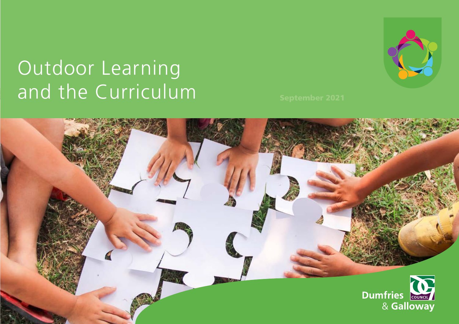# Outdoor Learning and the Curriculum September 2021



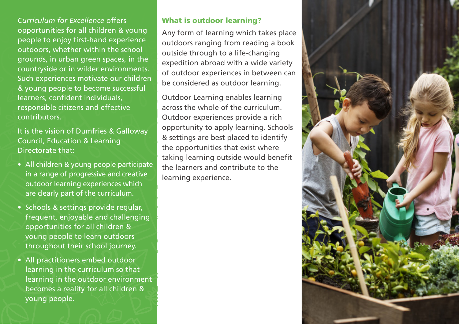*Curriculum for Excellence* offers opportunities for all children & young people to enjoy first-hand experience outdoors, whether within the school grounds, in urban green spaces, in the countryside or in wilder environments. Such experiences motivate our children & young people to become successful learners, confident individuals, responsible citizens and effective contributors.

It is the vision of Dumfries & Galloway Council, Education & Learning Directorate that:

- All children & young people participate in a range of progressive and creative outdoor learning experiences which are clearly part of the curriculum.
- Schools & settings provide regular, frequent, enjoyable and challenging opportunities for all children & young people to learn outdoors throughout their school journey.
- All practitioners embed outdoor learning in the curriculum so that learning in the outdoor environment becomes a reality for all children & young people.

### What is outdoor learning?

Any form of learning which takes place outdoors ranging from reading a book outside through to a life-changing expedition abroad with a wide variety of outdoor experiences in between can be considered as outdoor learning.

Outdoor Learning enables learning across the whole of the curriculum. Outdoor experiences provide a rich opportunity to apply learning. Schools & settings are best placed to identify the opportunities that exist where taking learning outside would benefit the learners and contribute to the learning experience.

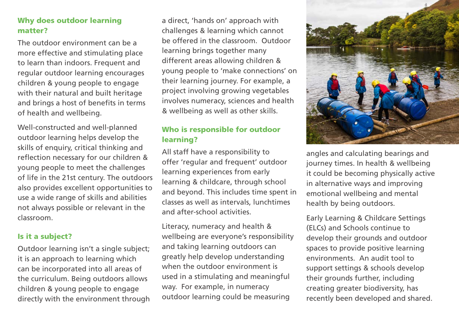## Why does outdoor learning matter?

The outdoor environment can be a more effective and stimulating place to learn than indoors. Frequent and regular outdoor learning encourages children & young people to engage with their natural and built heritage and brings a host of benefits in terms of health and wellbeing.

Well-constructed and well-planned outdoor learning helps develop the skills of enquiry, critical thinking and reflection necessary for our children & young people to meet the challenges of life in the 21st century. The outdoors also provides excellent opportunities to use a wide range of skills and abilities not always possible or relevant in the classroom.

## Is it a subject?

Outdoor learning isn't a single subject; it is an approach to learning which can be incorporated into all areas of the curriculum. Being outdoors allows children & young people to engage directly with the environment through

a direct, 'hands on' approach with challenges & learning which cannot be offered in the classroom. Outdoor learning brings together many different areas allowing children & young people to 'make connections' on their learning journey. For example, a project involving growing vegetables involves numeracy, sciences and health & wellbeing as well as other skills.

# Who is responsible for outdoor learning?

All staff have a responsibility to offer 'regular and frequent' outdoor learning experiences from early learning & childcare, through school and beyond. This includes time spent in classes as well as intervals, lunchtimes and after-school activities.

Literacy, numeracy and health & wellbeing are everyone's responsibility and taking learning outdoors can greatly help develop understanding when the outdoor environment is used in a stimulating and meaningful way. For example, in numeracy outdoor learning could be measuring



angles and calculating bearings and journey times. In health & wellbeing it could be becoming physically active in alternative ways and improving emotional wellbeing and mental health by being outdoors.

Early Learning & Childcare Settings (ELCs) and Schools continue to develop their grounds and outdoor spaces to provide positive learning environments. An audit tool to support settings & schools develop their grounds further, including creating greater biodiversity, has recently been developed and shared.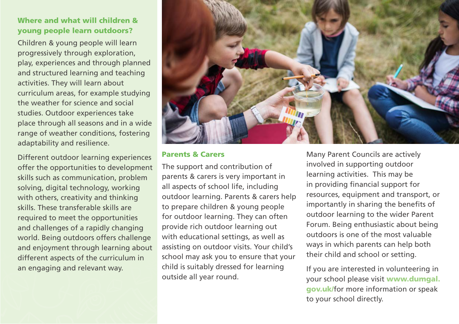# Where and what will children & young people learn outdoors?

Children & young people will learn progressively through exploration, play, experiences and through planned and structured learning and teaching activities. They will learn about curriculum areas, for example studying the weather for science and social studies. Outdoor experiences take place through all seasons and in a wide range of weather conditions, fostering adaptability and resilience.

Different outdoor learning experiences offer the opportunities to development skills such as communication, problem solving, digital technology, working with others, creativity and thinking skills. These transferable skills are required to meet the opportunities and challenges of a rapidly changing world. Being outdoors offers challenge and enjoyment through learning about different aspects of the curriculum in an engaging and relevant way.



## Parents & Carers

The support and contribution of parents & carers is very important in all aspects of school life, including outdoor learning. Parents & carers help to prepare children & young people for outdoor learning. They can often provide rich outdoor learning out with educational settings, as well as assisting on outdoor visits. Your child's school may ask you to ensure that your child is suitably dressed for learning outside all year round.

Many Parent Councils are actively involved in supporting outdoor learning activities. This may be in providing financial support for resources, equipment and transport, or importantly in sharing the benefits of outdoor learning to the wider Parent Forum. Being enthusiastic about being outdoors is one of the most valuable ways in which parents can help both their child and school or setting.

If you are interested in volunteering in your school please visit [www.dumgal.](https://www.dumgal.gov.uk/media/23476/0076-20-Leaflet-10-Volunteering-in-Schools/pdf/0076-20_Leaflet_10_-_Volunteering_in_Schools.pdf?m=637348266681030000)  [gov.uk/](https://www.dumgal.gov.uk/media/23476/0076-20-Leaflet-10-Volunteering-in-Schools/pdf/0076-20_Leaflet_10_-_Volunteering_in_Schools.pdf?m=637348266681030000)for more information or speak to your school directly.